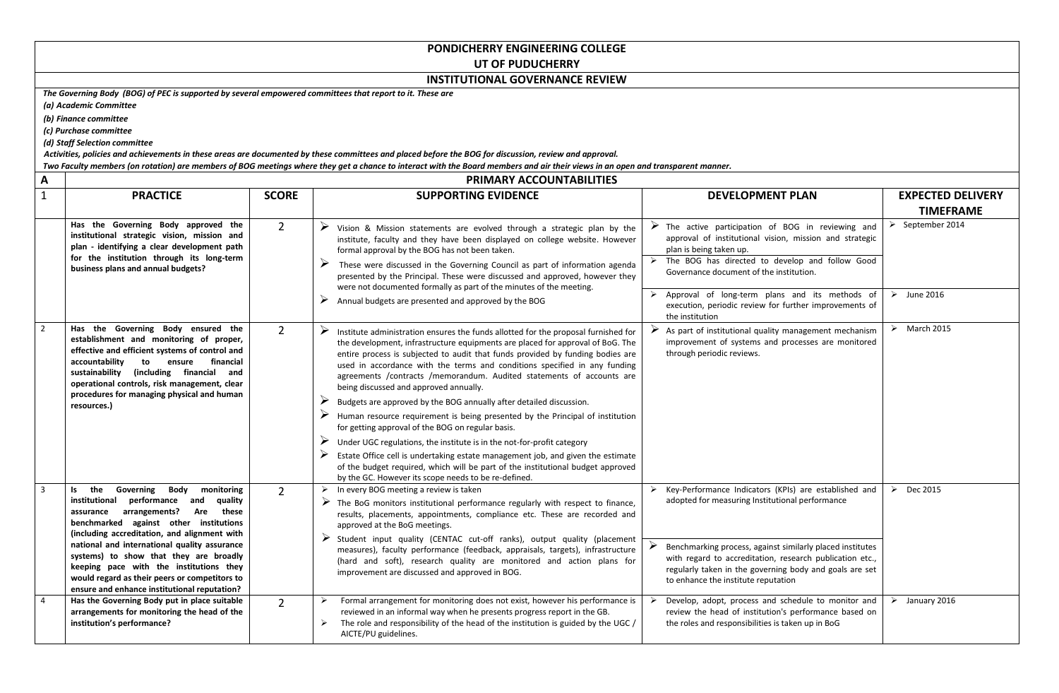## **PONDICHERRY ENGINEERING COLLEGE**

**UT OF PUDUCHERRY**

## **INSTITUTIONAL GOVERNANCE REVIEW**

*The Governing Body (BOG) of PEC is supported by several empowered committees that report to it. These are*

*(a) Academic Committee* 

*(b) Finance committee* 

*(c) Purchase committee* 

*(d) Staff Selection committee* 

*Activities, policies and achievements in these areas are documented by these committees and placed before the BOG for discussion, review and approval.*

*Two Faculty members (on rotation) are members of BOG meetings where they get a chance to interact with the Board members and air their views in an open and transparent manner.*

| A              | PRIMARY ACCOUNTABILITIES                                                                                                                                                                                                                                                                                                                                                                                                   |                |                                                                                                                                                                                                                                                                                                                                                                                                                                                                                                                                                                                                                                                                                                                                                                                                                                                                                                                                                                                                 |                                                                                                                                                                                                                                                                                                               |                                              |  |
|----------------|----------------------------------------------------------------------------------------------------------------------------------------------------------------------------------------------------------------------------------------------------------------------------------------------------------------------------------------------------------------------------------------------------------------------------|----------------|-------------------------------------------------------------------------------------------------------------------------------------------------------------------------------------------------------------------------------------------------------------------------------------------------------------------------------------------------------------------------------------------------------------------------------------------------------------------------------------------------------------------------------------------------------------------------------------------------------------------------------------------------------------------------------------------------------------------------------------------------------------------------------------------------------------------------------------------------------------------------------------------------------------------------------------------------------------------------------------------------|---------------------------------------------------------------------------------------------------------------------------------------------------------------------------------------------------------------------------------------------------------------------------------------------------------------|----------------------------------------------|--|
| $\mathbf{1}$   | <b>PRACTICE</b>                                                                                                                                                                                                                                                                                                                                                                                                            | <b>SCORE</b>   | <b>SUPPORTING EVIDENCE</b>                                                                                                                                                                                                                                                                                                                                                                                                                                                                                                                                                                                                                                                                                                                                                                                                                                                                                                                                                                      | <b>DEVELOPMENT PLAN</b>                                                                                                                                                                                                                                                                                       | <b>EXPECTED DELIVERY</b><br><b>TIMEFRAME</b> |  |
|                | Has the Governing Body approved the<br>$\overline{2}$<br>institutional strategic vision, mission and<br>plan - identifying a clear development path<br>for the institution through its long-term<br>business plans and annual budgets?                                                                                                                                                                                     |                | Vision & Mission statements are evolved through a strategic plan by the<br>institute, faculty and they have been displayed on college website. However<br>formal approval by the BOG has not been taken.<br>➤<br>These were discussed in the Governing Council as part of information agenda<br>presented by the Principal. These were discussed and approved, however they<br>were not documented formally as part of the minutes of the meeting.<br>➤<br>Annual budgets are presented and approved by the BOG                                                                                                                                                                                                                                                                                                                                                                                                                                                                                 | $\triangleright$ The active participation of BOG in reviewing and<br>approval of institutional vision, mission and strategic<br>plan is being taken up.<br>> The BOG has directed to develop and follow Good<br>Governance document of the institution.                                                       | $\triangleright$ September 2014              |  |
|                |                                                                                                                                                                                                                                                                                                                                                                                                                            |                |                                                                                                                                                                                                                                                                                                                                                                                                                                                                                                                                                                                                                                                                                                                                                                                                                                                                                                                                                                                                 | $\triangleright$ Approval of long-term plans and its methods of<br>execution, periodic review for further improvements of<br>the institution                                                                                                                                                                  | $\triangleright$ June 2016                   |  |
| $\overline{2}$ | Has the Governing Body ensured the<br>establishment and monitoring of proper,<br>effective and efficient systems of control and<br>accountability<br>financial<br>to<br>ensure<br>sustainability (including financial and<br>operational controls, risk management, clear<br>procedures for managing physical and human<br>resources.)                                                                                     | 2              | ➤<br>Institute administration ensures the funds allotted for the proposal furnished for<br>the development, infrastructure equipments are placed for approval of BoG. The<br>entire process is subjected to audit that funds provided by funding bodies are<br>used in accordance with the terms and conditions specified in any funding<br>agreements /contracts /memorandum. Audited statements of accounts are<br>being discussed and approved annually.<br>➤<br>Budgets are approved by the BOG annually after detailed discussion.<br>➤<br>Human resource requirement is being presented by the Principal of institution<br>for getting approval of the BOG on regular basis.<br>➤<br>Under UGC regulations, the institute is in the not-for-profit category<br>Estate Office cell is undertaking estate management job, and given the estimate<br>of the budget required, which will be part of the institutional budget approved<br>by the GC. However its scope needs to be re-defined. | As part of institutional quality management mechanism<br>improvement of systems and processes are monitored<br>through periodic reviews.                                                                                                                                                                      | $\triangleright$ March 2015                  |  |
| $\overline{3}$ | Governing<br>the<br>Body<br>monitoring<br>ls.<br>performance and<br>institutional<br>quality<br>arrangements?<br>Are<br>these<br>assurance<br>benchmarked against other institutions<br>(including accreditation, and alignment with<br>national and international quality assurance<br>systems) to show that they are broadly<br>keeping pace with the institutions they<br>would regard as their peers or competitors to | $\overline{2}$ | $\triangleright$ In every BOG meeting a review is taken<br>$\triangleright$ The BoG monitors institutional performance regularly with respect to finance,<br>results, placements, appointments, compliance etc. These are recorded and<br>approved at the BoG meetings.<br>Student input quality (CENTAC cut-off ranks), output quality (placement<br>➤<br>measures), faculty performance (feedback, appraisals, targets), infrastructure<br>(hard and soft), research quality are monitored and action plans for<br>improvement are discussed and approved in BOG.                                                                                                                                                                                                                                                                                                                                                                                                                             | $\triangleright$ Key-Performance Indicators (KPIs) are established and<br>adopted for measuring Institutional performance<br>Benchmarking process, against similarly placed institutes<br>with regard to accreditation, research publication etc.,<br>regularly taken in the governing body and goals are set | $\triangleright$ Dec 2015                    |  |
| $\overline{4}$ | ensure and enhance institutional reputation?<br>Has the Governing Body put in place suitable<br>arrangements for monitoring the head of the<br>institution's performance?                                                                                                                                                                                                                                                  | 2              | Formal arrangement for monitoring does not exist, however his performance is<br>reviewed in an informal way when he presents progress report in the GB.<br>The role and responsibility of the head of the institution is guided by the UGC /                                                                                                                                                                                                                                                                                                                                                                                                                                                                                                                                                                                                                                                                                                                                                    | to enhance the institute reputation<br>Develop, adopt, process and schedule to monitor and<br>review the head of institution's performance based on<br>the roles and responsibilities is taken up in BoG                                                                                                      | $\triangleright$ January 2016                |  |
|                |                                                                                                                                                                                                                                                                                                                                                                                                                            |                | AICTE/PU guidelines.                                                                                                                                                                                                                                                                                                                                                                                                                                                                                                                                                                                                                                                                                                                                                                                                                                                                                                                                                                            |                                                                                                                                                                                                                                                                                                               |                                              |  |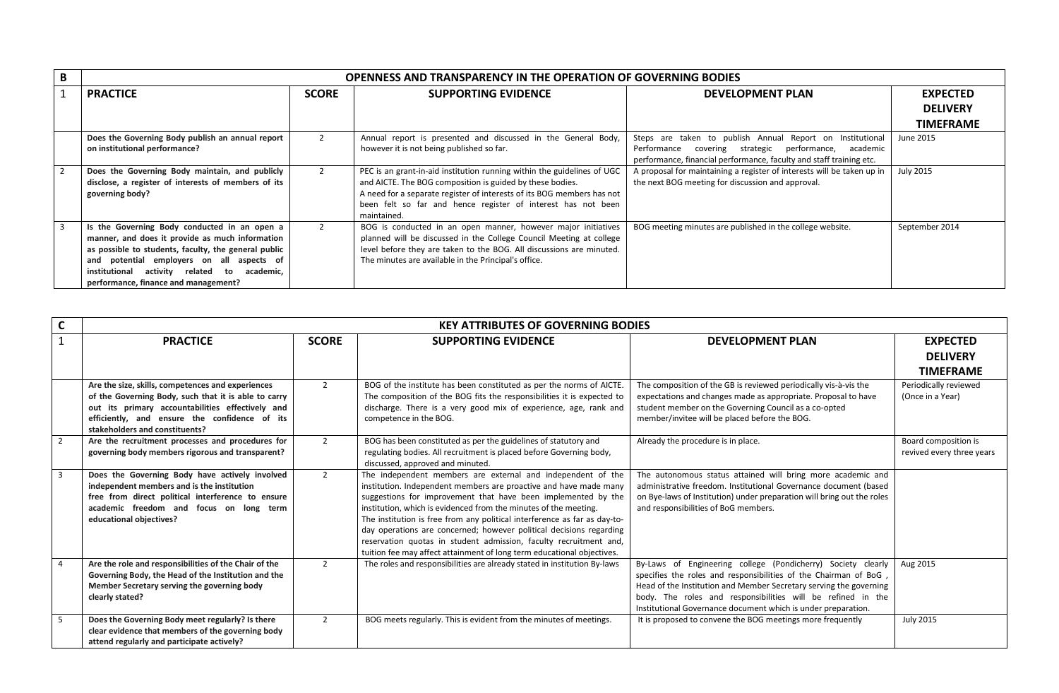| <b>OPENNESS AND TRANSPARENCY IN THE OPERATION OF GOVERNING BODIES</b> |              |                                                                         |                                                                        |                  |  |
|-----------------------------------------------------------------------|--------------|-------------------------------------------------------------------------|------------------------------------------------------------------------|------------------|--|
| <b>PRACTICE</b>                                                       | <b>SCORE</b> | <b>SUPPORTING EVIDENCE</b>                                              | <b>DEVELOPMENT PLAN</b>                                                | <b>EXPECTED</b>  |  |
|                                                                       |              |                                                                         |                                                                        | <b>DELIVERY</b>  |  |
|                                                                       |              |                                                                         |                                                                        | <b>TIMEFRAME</b> |  |
| Does the Governing Body publish an annual report                      |              | Annual report is presented and discussed in the General Body,           | Steps are taken to publish Annual Report on Institutional              | June 2015        |  |
| on institutional performance?                                         |              | however it is not being published so far.                               | Performance<br>covering strategic performance,<br>academic             |                  |  |
|                                                                       |              |                                                                         | performance, financial performance, faculty and staff training etc.    |                  |  |
| Does the Governing Body maintain, and publicly                        |              | PEC is an grant-in-aid institution running within the guidelines of UGC | A proposal for maintaining a register of interests will be taken up in | July 2015        |  |
| disclose, a register of interests of members of its                   |              | and AICTE. The BOG composition is guided by these bodies.               | the next BOG meeting for discussion and approval.                      |                  |  |
| governing body?                                                       |              | A need for a separate register of interests of its BOG members has not  |                                                                        |                  |  |
|                                                                       |              | been felt so far and hence register of interest has not been            |                                                                        |                  |  |
|                                                                       |              | maintained.                                                             |                                                                        |                  |  |
| Is the Governing Body conducted in an open a                          |              | BOG is conducted in an open manner, however major initiatives           | BOG meeting minutes are published in the college website.              | September 2014   |  |
| manner, and does it provide as much information                       |              | planned will be discussed in the College Council Meeting at college     |                                                                        |                  |  |
| as possible to students, faculty, the general public                  |              | level before they are taken to the BOG. All discussions are minuted.    |                                                                        |                  |  |
| and potential employers on all aspects of                             |              | The minutes are available in the Principal's office.                    |                                                                        |                  |  |
| activity related to<br>academic.<br>institutional                     |              |                                                                         |                                                                        |                  |  |
| performance, finance and management?                                  |              |                                                                         |                                                                        |                  |  |

| $\mathsf{C}$   | <b>KEY ATTRIBUTES OF GOVERNING BODIES</b>             |                |                                                                           |                                                                        |                           |  |
|----------------|-------------------------------------------------------|----------------|---------------------------------------------------------------------------|------------------------------------------------------------------------|---------------------------|--|
|                | <b>PRACTICE</b>                                       | <b>SCORE</b>   | <b>SUPPORTING EVIDENCE</b>                                                | <b>DEVELOPMENT PLAN</b>                                                | <b>EXPECTED</b>           |  |
|                |                                                       |                |                                                                           |                                                                        | <b>DELIVERY</b>           |  |
|                |                                                       |                |                                                                           |                                                                        | <b>TIMEFRAME</b>          |  |
|                | Are the size, skills, competences and experiences     | $\overline{2}$ | BOG of the institute has been constituted as per the norms of AICTE.      | The composition of the GB is reviewed periodically vis-à-vis the       | Periodically reviewed     |  |
|                | of the Governing Body, such that it is able to carry  |                | The composition of the BOG fits the responsibilities it is expected to    | expectations and changes made as appropriate. Proposal to have         | (Once in a Year)          |  |
|                | out its primary accountabilities effectively and      |                | discharge. There is a very good mix of experience, age, rank and          | student member on the Governing Council as a co-opted                  |                           |  |
|                | efficiently, and ensure the confidence of its         |                | competence in the BOG.                                                    | member/invitee will be placed before the BOG.                          |                           |  |
|                | stakeholders and constituents?                        |                |                                                                           |                                                                        |                           |  |
| $\overline{2}$ | Are the recruitment processes and procedures for      | $\overline{2}$ | BOG has been constituted as per the guidelines of statutory and           | Already the procedure is in place.                                     | Board composition is      |  |
|                | governing body members rigorous and transparent?      |                | regulating bodies. All recruitment is placed before Governing body,       |                                                                        | revived every three years |  |
|                |                                                       |                | discussed, approved and minuted.                                          |                                                                        |                           |  |
| $\overline{3}$ | Does the Governing Body have actively involved        | 2              | The independent members are external and independent of the               | The autonomous status attained will bring more academic and            |                           |  |
|                | independent members and is the institution            |                | institution. Independent members are proactive and have made many         | administrative freedom. Institutional Governance document (based       |                           |  |
|                | free from direct political interference to ensure     |                | suggestions for improvement that have been implemented by the             | on Bye-laws of Institution) under preparation will bring out the roles |                           |  |
|                | academic freedom and focus on long term               |                | institution, which is evidenced from the minutes of the meeting.          | and responsibilities of BoG members.                                   |                           |  |
|                | educational objectives?                               |                | The institution is free from any political interference as far as day-to- |                                                                        |                           |  |
|                |                                                       |                | day operations are concerned; however political decisions regarding       |                                                                        |                           |  |
|                |                                                       |                | reservation quotas in student admission, faculty recruitment and,         |                                                                        |                           |  |
|                |                                                       |                | tuition fee may affect attainment of long term educational objectives.    |                                                                        |                           |  |
|                | Are the role and responsibilities of the Chair of the | $\overline{2}$ | The roles and responsibilities are already stated in institution By-laws  | By-Laws of Engineering college (Pondicherry) Society clearly           | Aug 2015                  |  |
|                | Governing Body, the Head of the Institution and the   |                |                                                                           | specifies the roles and responsibilities of the Chairman of BoG,       |                           |  |
|                | Member Secretary serving the governing body           |                |                                                                           | Head of the Institution and Member Secretary serving the governing     |                           |  |
|                | clearly stated?                                       |                |                                                                           | body. The roles and responsibilities will be refined in the            |                           |  |
|                |                                                       |                |                                                                           | Institutional Governance document which is under preparation.          |                           |  |
| -5             | Does the Governing Body meet regularly? Is there      | $\overline{2}$ | BOG meets regularly. This is evident from the minutes of meetings.        | It is proposed to convene the BOG meetings more frequently             | <b>July 2015</b>          |  |
|                | clear evidence that members of the governing body     |                |                                                                           |                                                                        |                           |  |
|                | attend regularly and participate actively?            |                |                                                                           |                                                                        |                           |  |